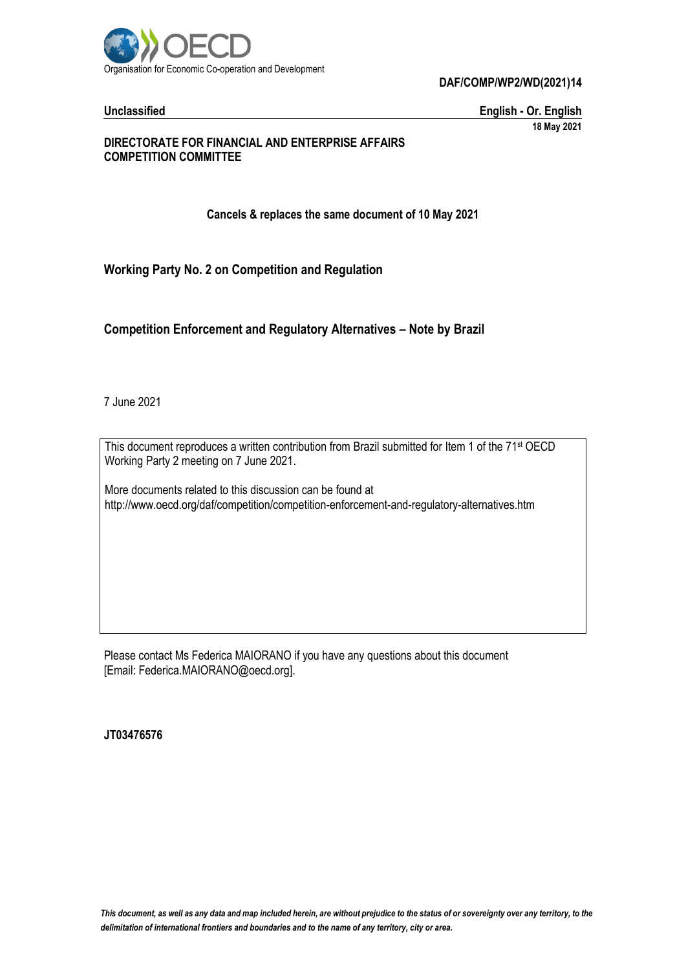

**Unclassified English - Or. English 18 May 2021**

#### **DIRECTORATE FOR FINANCIAL AND ENTERPRISE AFFAIRS COMPETITION COMMITTEE**

**Cancels & replaces the same document of 10 May 2021**

**Working Party No. 2 on Competition and Regulation**

**Competition Enforcement and Regulatory Alternatives – Note by Brazil**

7 June 2021

This document reproduces a written contribution from Brazil submitted for Item 1 of the 71<sup>st</sup> OECD Working Party 2 meeting on 7 June 2021.

More documents related to this discussion can be found at http://www.oecd.org/daf/competition/competition-enforcement-and-regulatory-alternatives.htm

Please contact Ms Federica MAIORANO if you have any questions about this document [Email: Federica.MAIORANO@oecd.org].

**JT03476576**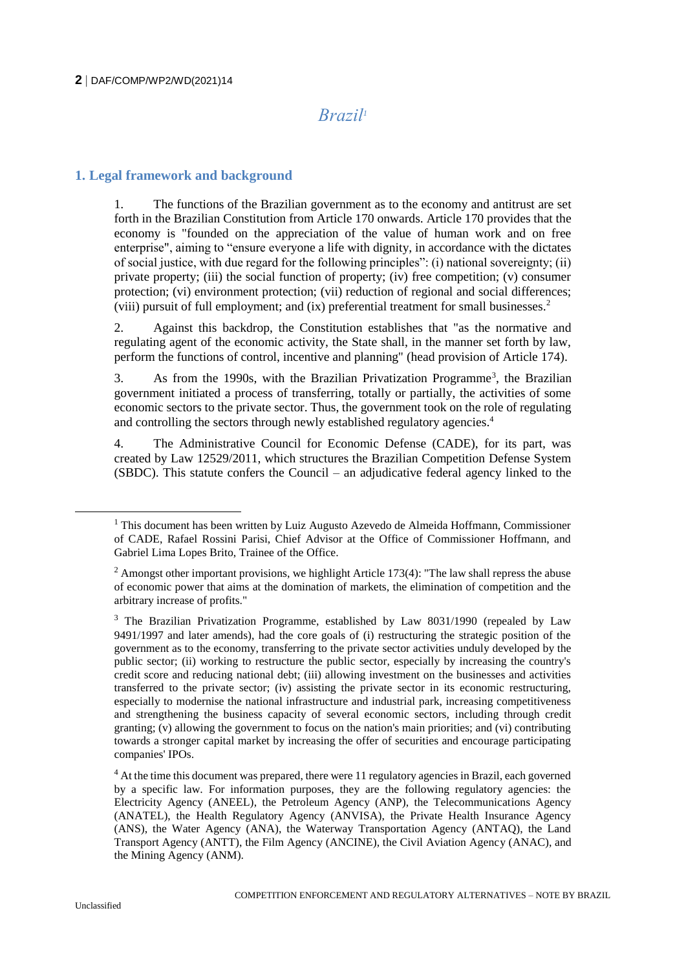# *Brazil<sup>1</sup>*

#### **1. Legal framework and background**

1. The functions of the Brazilian government as to the economy and antitrust are set forth in the Brazilian Constitution from Article 170 onwards. Article 170 provides that the economy is "founded on the appreciation of the value of human work and on free enterprise", aiming to "ensure everyone a life with dignity, in accordance with the dictates of social justice, with due regard for the following principles": (i) national sovereignty; (ii) private property; (iii) the social function of property; (iv) free competition; (v) consumer protection; (vi) environment protection; (vii) reduction of regional and social differences; (viii) pursuit of full employment; and (ix) preferential treatment for small businesses.<sup>2</sup>

2. Against this backdrop, the Constitution establishes that "as the normative and regulating agent of the economic activity, the State shall, in the manner set forth by law, perform the functions of control, incentive and planning" (head provision of Article 174).

3. As from the 1990s, with the Brazilian Privatization Programme<sup>3</sup>, the Brazilian government initiated a process of transferring, totally or partially, the activities of some economic sectors to the private sector. Thus, the government took on the role of regulating and controlling the sectors through newly established regulatory agencies.<sup>4</sup>

4. The Administrative Council for Economic Defense (CADE), for its part, was created by Law 12529/2011, which structures the Brazilian Competition Defense System (SBDC). This statute confers the Council – an adjudicative federal agency linked to the

 $<sup>1</sup>$  This document has been written by Luiz Augusto Azevedo de Almeida Hoffmann, Commissioner</sup> of CADE, Rafael Rossini Parisi, Chief Advisor at the Office of Commissioner Hoffmann, and Gabriel Lima Lopes Brito, Trainee of the Office.

 $2$  Amongst other important provisions, we highlight Article 173(4): "The law shall repress the abuse of economic power that aims at the domination of markets, the elimination of competition and the arbitrary increase of profits."

<sup>&</sup>lt;sup>3</sup> The Brazilian Privatization Programme, established by Law 8031/1990 (repealed by Law 9491/1997 and later amends), had the core goals of (i) restructuring the strategic position of the government as to the economy, transferring to the private sector activities unduly developed by the public sector; (ii) working to restructure the public sector, especially by increasing the country's credit score and reducing national debt; (iii) allowing investment on the businesses and activities transferred to the private sector; (iv) assisting the private sector in its economic restructuring, especially to modernise the national infrastructure and industrial park, increasing competitiveness and strengthening the business capacity of several economic sectors, including through credit granting; (v) allowing the government to focus on the nation's main priorities; and (vi) contributing towards a stronger capital market by increasing the offer of securities and encourage participating companies' IPOs.

<sup>&</sup>lt;sup>4</sup> At the time this document was prepared, there were 11 regulatory agencies in Brazil, each governed by a specific law. For information purposes, they are the following regulatory agencies: the Electricity Agency (ANEEL), the Petroleum Agency (ANP), the Telecommunications Agency (ANATEL), the Health Regulatory Agency (ANVISA), the Private Health Insurance Agency (ANS), the Water Agency (ANA), the Waterway Transportation Agency (ANTAQ), the Land Transport Agency (ANTT), the Film Agency (ANCINE), the Civil Aviation Agency (ANAC), and the Mining Agency (ANM).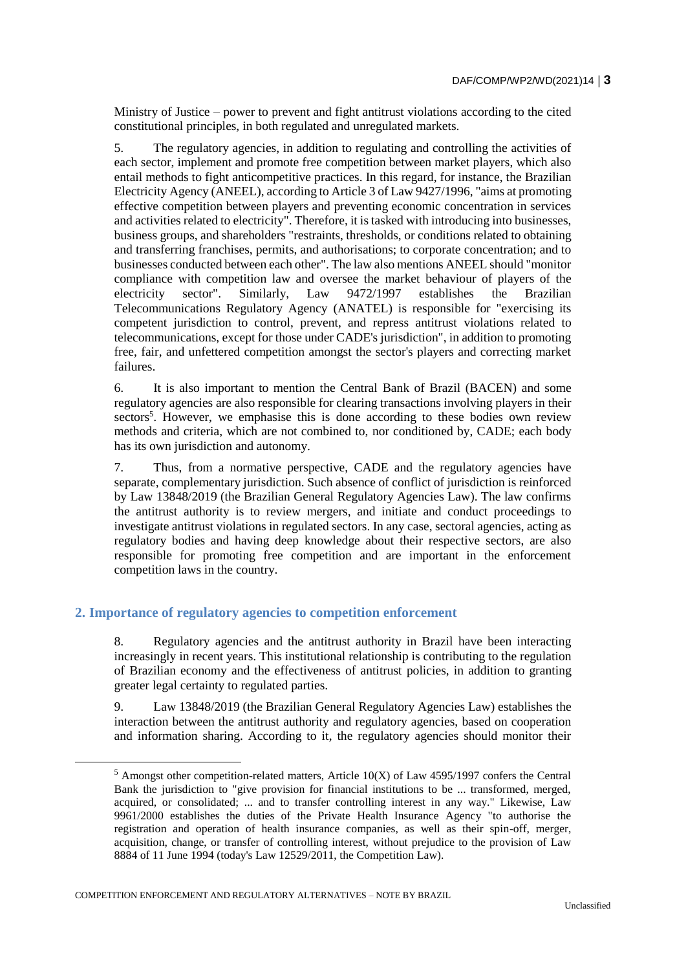Ministry of Justice – power to prevent and fight antitrust violations according to the cited constitutional principles, in both regulated and unregulated markets.

5. The regulatory agencies, in addition to regulating and controlling the activities of each sector, implement and promote free competition between market players, which also entail methods to fight anticompetitive practices. In this regard, for instance, the Brazilian Electricity Agency (ANEEL), according to Article 3 of Law 9427/1996, "aims at promoting effective competition between players and preventing economic concentration in services and activities related to electricity". Therefore, it is tasked with introducing into businesses, business groups, and shareholders "restraints, thresholds, or conditions related to obtaining and transferring franchises, permits, and authorisations; to corporate concentration; and to businesses conducted between each other". The law also mentions ANEEL should "monitor compliance with competition law and oversee the market behaviour of players of the electricity sector". Similarly, Law 9472/1997 establishes the Brazilian Telecommunications Regulatory Agency (ANATEL) is responsible for "exercising its competent jurisdiction to control, prevent, and repress antitrust violations related to telecommunications, except for those under CADE's jurisdiction", in addition to promoting free, fair, and unfettered competition amongst the sector's players and correcting market failures.

6. It is also important to mention the Central Bank of Brazil (BACEN) and some regulatory agencies are also responsible for clearing transactions involving players in their sectors<sup>5</sup>. However, we emphasise this is done according to these bodies own review methods and criteria, which are not combined to, nor conditioned by, CADE; each body has its own jurisdiction and autonomy.

7. Thus, from a normative perspective, CADE and the regulatory agencies have separate, complementary jurisdiction. Such absence of conflict of jurisdiction is reinforced by Law 13848/2019 (the Brazilian General Regulatory Agencies Law). The law confirms the antitrust authority is to review mergers, and initiate and conduct proceedings to investigate antitrust violations in regulated sectors. In any case, sectoral agencies, acting as regulatory bodies and having deep knowledge about their respective sectors, are also responsible for promoting free competition and are important in the enforcement competition laws in the country.

## **2. Importance of regulatory agencies to competition enforcement**

8. Regulatory agencies and the antitrust authority in Brazil have been interacting increasingly in recent years. This institutional relationship is contributing to the regulation of Brazilian economy and the effectiveness of antitrust policies, in addition to granting greater legal certainty to regulated parties.

9. Law 13848/2019 (the Brazilian General Regulatory Agencies Law) establishes the interaction between the antitrust authority and regulatory agencies, based on cooperation and information sharing. According to it, the regulatory agencies should monitor their

COMPETITION ENFORCEMENT AND REGULATORY ALTERNATIVES – NOTE BY BRAZIL

 $5$  Amongst other competition-related matters, Article 10(X) of Law 4595/1997 confers the Central Bank the jurisdiction to "give provision for financial institutions to be ... transformed, merged, acquired, or consolidated; ... and to transfer controlling interest in any way." Likewise, Law 9961/2000 establishes the duties of the Private Health Insurance Agency "to authorise the registration and operation of health insurance companies, as well as their spin-off, merger, acquisition, change, or transfer of controlling interest, without prejudice to the provision of Law 8884 of 11 June 1994 (today's Law 12529/2011, the Competition Law).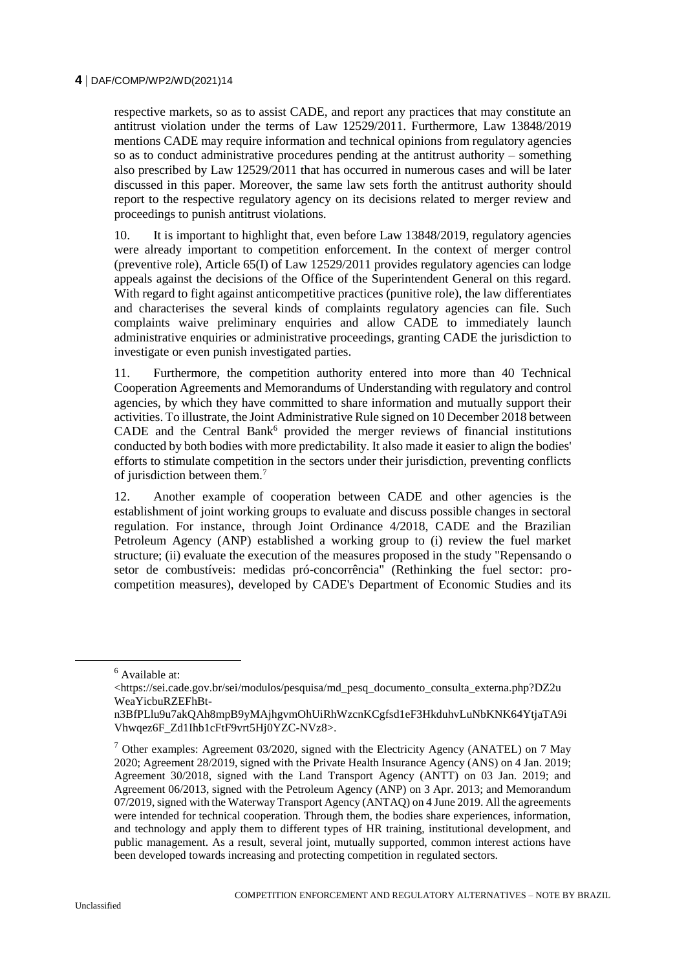respective markets, so as to assist CADE, and report any practices that may constitute an antitrust violation under the terms of Law 12529/2011. Furthermore, Law 13848/2019 mentions CADE may require information and technical opinions from regulatory agencies so as to conduct administrative procedures pending at the antitrust authority – something also prescribed by Law 12529/2011 that has occurred in numerous cases and will be later discussed in this paper. Moreover, the same law sets forth the antitrust authority should report to the respective regulatory agency on its decisions related to merger review and proceedings to punish antitrust violations.

10. It is important to highlight that, even before Law 13848/2019, regulatory agencies were already important to competition enforcement. In the context of merger control (preventive role), Article 65(I) of Law 12529/2011 provides regulatory agencies can lodge appeals against the decisions of the Office of the Superintendent General on this regard. With regard to fight against anticompetitive practices (punitive role), the law differentiates and characterises the several kinds of complaints regulatory agencies can file. Such complaints waive preliminary enquiries and allow CADE to immediately launch administrative enquiries or administrative proceedings, granting CADE the jurisdiction to investigate or even punish investigated parties.

11. Furthermore, the competition authority entered into more than 40 Technical Cooperation Agreements and Memorandums of Understanding with regulatory and control agencies, by which they have committed to share information and mutually support their activities. To illustrate, the Joint Administrative Rule signed on 10 December 2018 between CADE and the Central Bank<sup>6</sup> provided the merger reviews of financial institutions conducted by both bodies with more predictability. It also made it easier to align the bodies' efforts to stimulate competition in the sectors under their jurisdiction, preventing conflicts of jurisdiction between them.<sup>7</sup>

12. Another example of cooperation between CADE and other agencies is the establishment of joint working groups to evaluate and discuss possible changes in sectoral regulation. For instance, through Joint Ordinance 4/2018, CADE and the Brazilian Petroleum Agency (ANP) established a working group to (i) review the fuel market structure; (ii) evaluate the execution of the measures proposed in the study "Repensando o setor de combustíveis: medidas pró-concorrência" (Rethinking the fuel sector: procompetition measures), developed by CADE's Department of Economic Studies and its

<sup>6</sup> Available at:

 $\lt$ https://sei.cade.gov.br/sei/modulos/pesquisa/md\_pesq\_documento\_consulta\_externa.php?DZ2u WeaYicbuRZEFhBt-

n3BfPLlu9u7akQAh8mpB9yMAjhgvmOhUiRhWzcnKCgfsd1eF3HkduhvLuNbKNK64YtjaTA9i Vhwqez6F\_Zd1Ihb1cFtF9vrt5Hj0YZC-NVz8>.

<sup>&</sup>lt;sup>7</sup> Other examples: Agreement 03/2020, signed with the Electricity Agency (ANATEL) on 7 May 2020; Agreement 28/2019, signed with the Private Health Insurance Agency (ANS) on 4 Jan. 2019; Agreement 30/2018, signed with the Land Transport Agency (ANTT) on 03 Jan. 2019; and Agreement 06/2013, signed with the Petroleum Agency (ANP) on 3 Apr. 2013; and Memorandum 07/2019, signed with the Waterway Transport Agency (ANTAQ) on 4 June 2019. All the agreements were intended for technical cooperation. Through them, the bodies share experiences, information, and technology and apply them to different types of HR training, institutional development, and public management. As a result, several joint, mutually supported, common interest actions have been developed towards increasing and protecting competition in regulated sectors.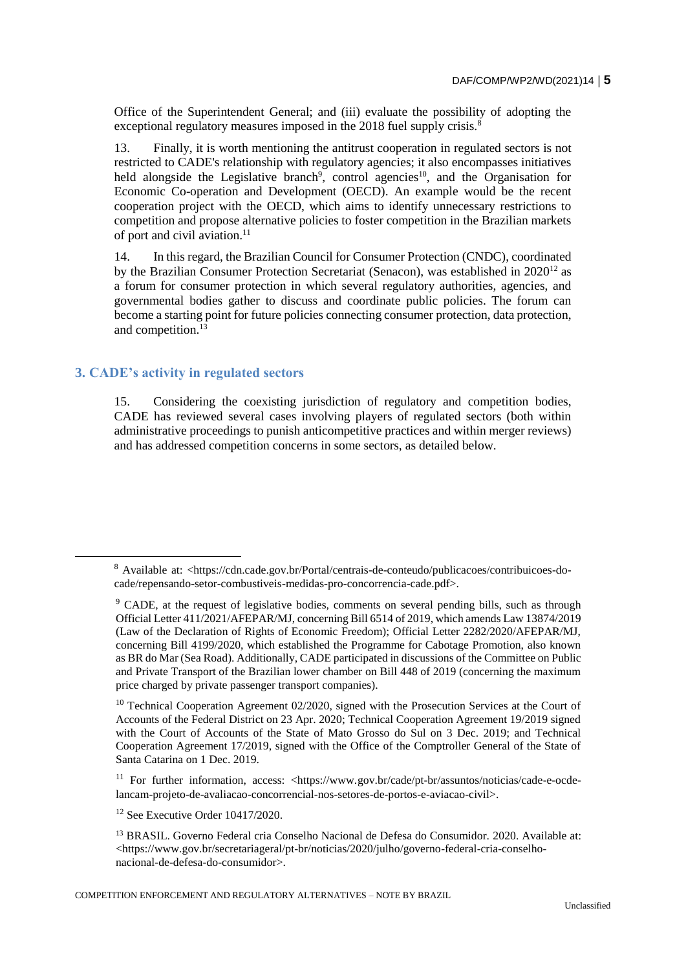Office of the Superintendent General; and (iii) evaluate the possibility of adopting the exceptional regulatory measures imposed in the 2018 fuel supply crisis.<sup>8</sup>

13. Finally, it is worth mentioning the antitrust cooperation in regulated sectors is not restricted to CADE's relationship with regulatory agencies; it also encompasses initiatives held alongside the Legislative branch<sup>9</sup>, control agencies<sup>10</sup>, and the Organisation for Economic Co-operation and Development (OECD). An example would be the recent cooperation project with the OECD, which aims to identify unnecessary restrictions to competition and propose alternative policies to foster competition in the Brazilian markets of port and civil aviation.<sup>11</sup>

14. In this regard, the Brazilian Council for Consumer Protection (CNDC), coordinated by the Brazilian Consumer Protection Secretariat (Senacon), was established in  $2020^{12}$  as a forum for consumer protection in which several regulatory authorities, agencies, and governmental bodies gather to discuss and coordinate public policies. The forum can become a starting point for future policies connecting consumer protection, data protection, and competition.<sup>1</sup>

# **3. CADE's activity in regulated sectors**

15. Considering the coexisting jurisdiction of regulatory and competition bodies, CADE has reviewed several cases involving players of regulated sectors (both within administrative proceedings to punish anticompetitive practices and within merger reviews) and has addressed competition concerns in some sectors, as detailed below.

<sup>11</sup> For further information, access: <https://www.gov.br/cade/pt-br/assuntos/noticias/cade-e-ocdelancam-projeto-de-avaliacao-concorrencial-nos-setores-de-portos-e-aviacao-civil>.

<sup>8</sup> Available at: <https://cdn.cade.gov.br/Portal/centrais-de-conteudo/publicacoes/contribuicoes-docade/repensando-setor-combustiveis-medidas-pro-concorrencia-cade.pdf>.

<sup>9</sup> CADE, at the request of legislative bodies, comments on several pending bills, such as through Official Letter 411/2021/AFEPAR/MJ, concerning Bill 6514 of 2019, which amends Law 13874/2019 (Law of the Declaration of Rights of Economic Freedom); Official Letter 2282/2020/AFEPAR/MJ, concerning Bill 4199/2020, which established the Programme for Cabotage Promotion, also known as BR do Mar (Sea Road). Additionally, CADE participated in discussions of the Committee on Public and Private Transport of the Brazilian lower chamber on Bill 448 of 2019 (concerning the maximum price charged by private passenger transport companies).

<sup>&</sup>lt;sup>10</sup> Technical Cooperation Agreement 02/2020, signed with the Prosecution Services at the Court of Accounts of the Federal District on 23 Apr. 2020; Technical Cooperation Agreement 19/2019 signed with the Court of Accounts of the State of Mato Grosso do Sul on 3 Dec. 2019; and Technical Cooperation Agreement 17/2019, signed with the Office of the Comptroller General of the State of Santa Catarina on 1 Dec. 2019.

 $12$  See Executive Order  $10417/2020$ .

<sup>&</sup>lt;sup>13</sup> BRASIL. Governo Federal cria Conselho Nacional de Defesa do Consumidor. 2020. Available at: <https://www.gov.br/secretariageral/pt-br/noticias/2020/julho/governo-federal-cria-conselhonacional-de-defesa-do-consumidor>.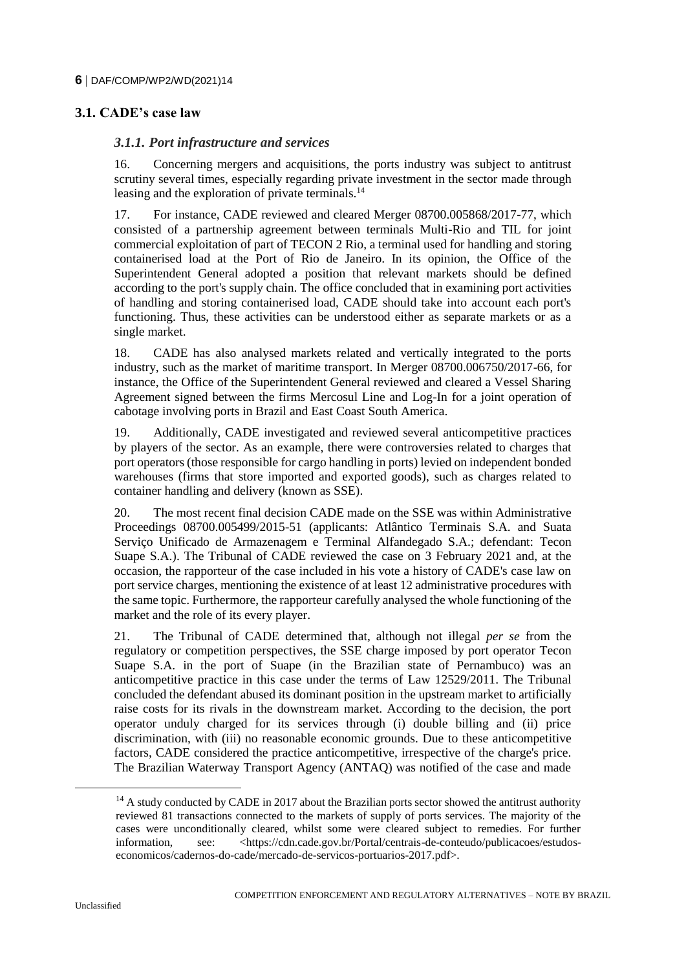# **3.1. CADE's case law**

#### *3.1.1. Port infrastructure and services*

16. Concerning mergers and acquisitions, the ports industry was subject to antitrust scrutiny several times, especially regarding private investment in the sector made through leasing and the exploration of private terminals.<sup>14</sup>

17. For instance, CADE reviewed and cleared Merger 08700.005868/2017-77, which consisted of a partnership agreement between terminals Multi-Rio and TIL for joint commercial exploitation of part of TECON 2 Rio, a terminal used for handling and storing containerised load at the Port of Rio de Janeiro. In its opinion, the Office of the Superintendent General adopted a position that relevant markets should be defined according to the port's supply chain. The office concluded that in examining port activities of handling and storing containerised load, CADE should take into account each port's functioning. Thus, these activities can be understood either as separate markets or as a single market.

18. CADE has also analysed markets related and vertically integrated to the ports industry, such as the market of maritime transport. In Merger 08700.006750/2017-66, for instance, the Office of the Superintendent General reviewed and cleared a Vessel Sharing Agreement signed between the firms Mercosul Line and Log-In for a joint operation of cabotage involving ports in Brazil and East Coast South America.

19. Additionally, CADE investigated and reviewed several anticompetitive practices by players of the sector. As an example, there were controversies related to charges that port operators (those responsible for cargo handling in ports) levied on independent bonded warehouses (firms that store imported and exported goods), such as charges related to container handling and delivery (known as SSE).

20. The most recent final decision CADE made on the SSE was within Administrative Proceedings 08700.005499/2015-51 (applicants: Atlântico Terminais S.A. and Suata Serviço Unificado de Armazenagem e Terminal Alfandegado S.A.; defendant: Tecon Suape S.A.). The Tribunal of CADE reviewed the case on 3 February 2021 and, at the occasion, the rapporteur of the case included in his vote a history of CADE's case law on port service charges, mentioning the existence of at least 12 administrative procedures with the same topic. Furthermore, the rapporteur carefully analysed the whole functioning of the market and the role of its every player.

21. The Tribunal of CADE determined that, although not illegal *per se* from the regulatory or competition perspectives, the SSE charge imposed by port operator Tecon Suape S.A. in the port of Suape (in the Brazilian state of Pernambuco) was an anticompetitive practice in this case under the terms of Law 12529/2011. The Tribunal concluded the defendant abused its dominant position in the upstream market to artificially raise costs for its rivals in the downstream market. According to the decision, the port operator unduly charged for its services through (i) double billing and (ii) price discrimination, with (iii) no reasonable economic grounds. Due to these anticompetitive factors, CADE considered the practice anticompetitive, irrespective of the charge's price. The Brazilian Waterway Transport Agency (ANTAQ) was notified of the case and made

 $14$  A study conducted by CADE in 2017 about the Brazilian ports sector showed the antitrust authority reviewed 81 transactions connected to the markets of supply of ports services. The majority of the cases were unconditionally cleared, whilst some were cleared subject to remedies. For further information, see: <https://cdn.cade.gov.br/Portal/centrais-de-conteudo/publicacoes/estudoseconomicos/cadernos-do-cade/mercado-de-servicos-portuarios-2017.pdf>.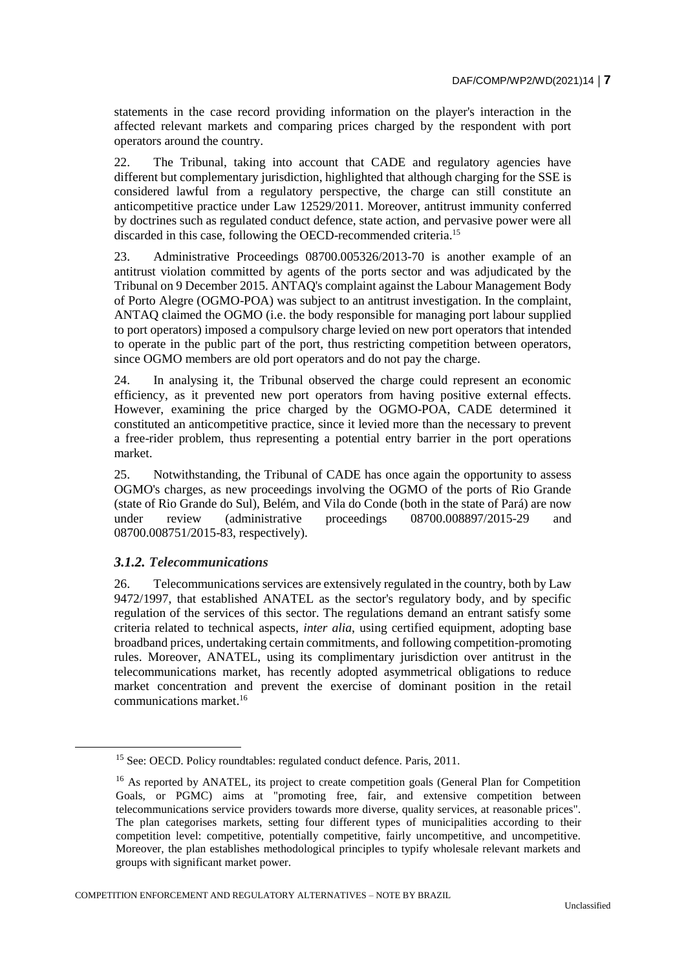statements in the case record providing information on the player's interaction in the affected relevant markets and comparing prices charged by the respondent with port operators around the country.

22. The Tribunal, taking into account that CADE and regulatory agencies have different but complementary jurisdiction, highlighted that although charging for the SSE is considered lawful from a regulatory perspective, the charge can still constitute an anticompetitive practice under Law 12529/2011. Moreover, antitrust immunity conferred by doctrines such as regulated conduct defence, state action, and pervasive power were all discarded in this case, following the OECD-recommended criteria.<sup>15</sup>

23. Administrative Proceedings 08700.005326/2013-70 is another example of an antitrust violation committed by agents of the ports sector and was adjudicated by the Tribunal on 9 December 2015. ANTAQ's complaint against the Labour Management Body of Porto Alegre (OGMO-POA) was subject to an antitrust investigation. In the complaint, ANTAQ claimed the OGMO (i.e. the body responsible for managing port labour supplied to port operators) imposed a compulsory charge levied on new port operators that intended to operate in the public part of the port, thus restricting competition between operators, since OGMO members are old port operators and do not pay the charge.

24. In analysing it, the Tribunal observed the charge could represent an economic efficiency, as it prevented new port operators from having positive external effects. However, examining the price charged by the OGMO-POA, CADE determined it constituted an anticompetitive practice, since it levied more than the necessary to prevent a free-rider problem, thus representing a potential entry barrier in the port operations market.

25. Notwithstanding, the Tribunal of CADE has once again the opportunity to assess OGMO's charges, as new proceedings involving the OGMO of the ports of Rio Grande (state of Rio Grande do Sul), Belém, and Vila do Conde (both in the state of Pará) are now under review (administrative proceedings 08700.008897/2015-29 and 08700.008751/2015-83, respectively).

## *3.1.2. Telecommunications*

26. Telecommunications services are extensively regulated in the country, both by Law 9472/1997, that established ANATEL as the sector's regulatory body, and by specific regulation of the services of this sector. The regulations demand an entrant satisfy some criteria related to technical aspects, *inter alia*, using certified equipment, adopting base broadband prices, undertaking certain commitments, and following competition-promoting rules. Moreover, ANATEL, using its complimentary jurisdiction over antitrust in the telecommunications market, has recently adopted asymmetrical obligations to reduce market concentration and prevent the exercise of dominant position in the retail communications market.<sup>16</sup>

<sup>&</sup>lt;sup>15</sup> See: OECD. Policy roundtables: regulated conduct defence. Paris, 2011.

<sup>&</sup>lt;sup>16</sup> As reported by ANATEL, its project to create competition goals (General Plan for Competition Goals, or PGMC) aims at "promoting free, fair, and extensive competition between telecommunications service providers towards more diverse, quality services, at reasonable prices". The plan categorises markets, setting four different types of municipalities according to their competition level: competitive, potentially competitive, fairly uncompetitive, and uncompetitive. Moreover, the plan establishes methodological principles to typify wholesale relevant markets and groups with significant market power.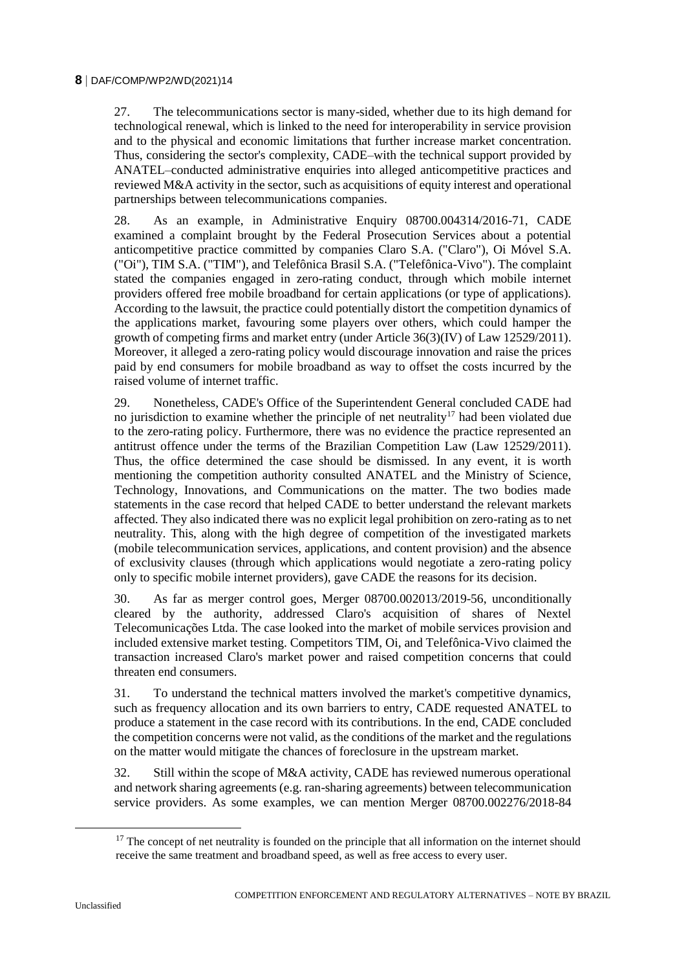27. The telecommunications sector is many-sided, whether due to its high demand for technological renewal, which is linked to the need for interoperability in service provision and to the physical and economic limitations that further increase market concentration. Thus, considering the sector's complexity, CADE–with the technical support provided by ANATEL–conducted administrative enquiries into alleged anticompetitive practices and reviewed M&A activity in the sector, such as acquisitions of equity interest and operational partnerships between telecommunications companies.

28. As an example, in Administrative Enquiry 08700.004314/2016-71, CADE examined a complaint brought by the Federal Prosecution Services about a potential anticompetitive practice committed by companies Claro S.A. ("Claro"), Oi Móvel S.A. ("Oi"), TIM S.A. ("TIM"), and Telefônica Brasil S.A. ("Telefônica-Vivo"). The complaint stated the companies engaged in zero-rating conduct, through which mobile internet providers offered free mobile broadband for certain applications (or type of applications). According to the lawsuit, the practice could potentially distort the competition dynamics of the applications market, favouring some players over others, which could hamper the growth of competing firms and market entry (under Article 36(3)(IV) of Law 12529/2011). Moreover, it alleged a zero-rating policy would discourage innovation and raise the prices paid by end consumers for mobile broadband as way to offset the costs incurred by the raised volume of internet traffic.

29. Nonetheless, CADE's Office of the Superintendent General concluded CADE had no jurisdiction to examine whether the principle of net neutrality<sup>17</sup> had been violated due to the zero-rating policy. Furthermore, there was no evidence the practice represented an antitrust offence under the terms of the Brazilian Competition Law (Law 12529/2011). Thus, the office determined the case should be dismissed. In any event, it is worth mentioning the competition authority consulted ANATEL and the Ministry of Science, Technology, Innovations, and Communications on the matter. The two bodies made statements in the case record that helped CADE to better understand the relevant markets affected. They also indicated there was no explicit legal prohibition on zero-rating as to net neutrality. This, along with the high degree of competition of the investigated markets (mobile telecommunication services, applications, and content provision) and the absence of exclusivity clauses (through which applications would negotiate a zero-rating policy only to specific mobile internet providers), gave CADE the reasons for its decision.

30. As far as merger control goes, Merger 08700.002013/2019-56, unconditionally cleared by the authority, addressed Claro's acquisition of shares of Nextel Telecomunicações Ltda. The case looked into the market of mobile services provision and included extensive market testing. Competitors TIM, Oi, and Telefônica-Vivo claimed the transaction increased Claro's market power and raised competition concerns that could threaten end consumers.

31. To understand the technical matters involved the market's competitive dynamics, such as frequency allocation and its own barriers to entry, CADE requested ANATEL to produce a statement in the case record with its contributions. In the end, CADE concluded the competition concerns were not valid, as the conditions of the market and the regulations on the matter would mitigate the chances of foreclosure in the upstream market.

32. Still within the scope of M&A activity, CADE has reviewed numerous operational and network sharing agreements (e.g. ran-sharing agreements) between telecommunication service providers. As some examples, we can mention Merger 08700.002276/2018-84

 $17$  The concept of net neutrality is founded on the principle that all information on the internet should receive the same treatment and broadband speed, as well as free access to every user.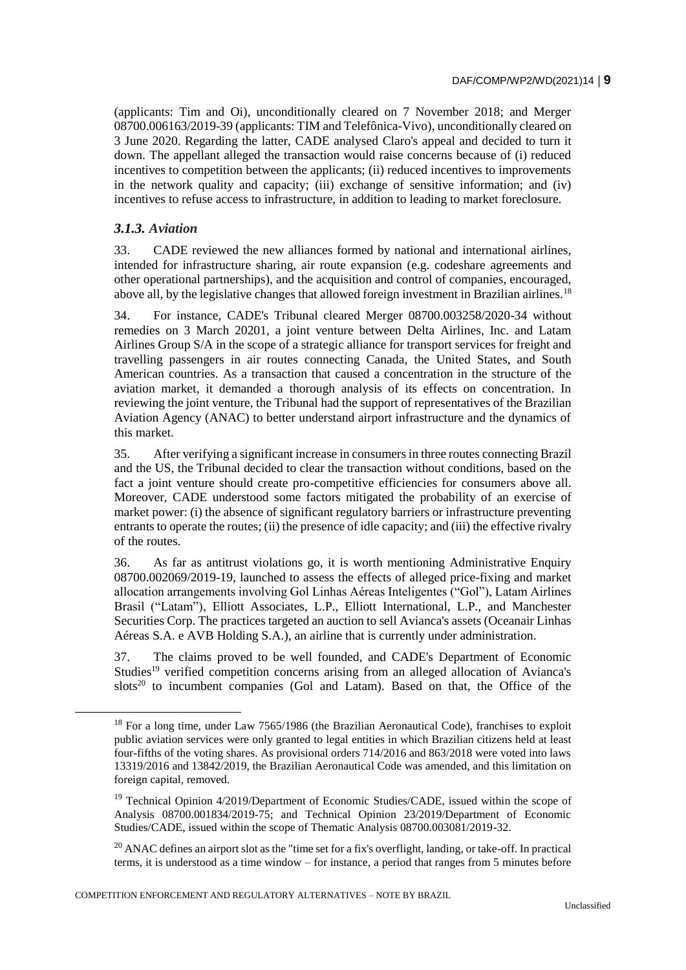(applicants: Tim and Oi), unconditionally cleared on 7 November 2018; and Merger 08700.006163/2019-39 (applicants: TIM and Telefônica-Vivo), unconditionally cleared on 3 June 2020. Regarding the latter, CADE analysed Claro's appeal and decided to turn it down. The appellant alleged the transaction would raise concerns because of (i) reduced incentives to competition between the applicants; (ii) reduced incentives to improvements in the network quality and capacity; (iii) exchange of sensitive information; and (iv) incentives to refuse access to infrastructure, in addition to leading to market foreclosure.

## *3.1.3. Aviation*

 $\overline{a}$ 

33. CADE reviewed the new alliances formed by national and international airlines, intended for infrastructure sharing, air route expansion (e.g. codeshare agreements and other operational partnerships), and the acquisition and control of companies, encouraged, above all, by the legislative changes that allowed foreign investment in Brazilian airlines.<sup>18</sup>

34. For instance, CADE's Tribunal cleared Merger 08700.003258/2020-34 without remedies on 3 March 20201, a joint venture between Delta Airlines, Inc. and Latam Airlines Group S/A in the scope of a strategic alliance for transport services for freight and travelling passengers in air routes connecting Canada, the United States, and South American countries. As a transaction that caused a concentration in the structure of the aviation market, it demanded a thorough analysis of its effects on concentration. In reviewing the joint venture, the Tribunal had the support of representatives of the Brazilian Aviation Agency (ANAC) to better understand airport infrastructure and the dynamics of this market.

35. After verifying a significant increase in consumers in three routes connecting Brazil and the US, the Tribunal decided to clear the transaction without conditions, based on the fact a joint venture should create pro-competitive efficiencies for consumers above all. Moreover, CADE understood some factors mitigated the probability of an exercise of market power: (i) the absence of significant regulatory barriers or infrastructure preventing entrants to operate the routes; (ii) the presence of idle capacity; and (iii) the effective rivalry of the routes.

36. As far as antitrust violations go, it is worth mentioning Administrative Enquiry 08700.002069/2019-19, launched to assess the effects of alleged price-fixing and market allocation arrangements involving Gol Linhas Aéreas Inteligentes ("Gol"), Latam Airlines Brasil ("Latam"), Elliott Associates, L.P., Elliott International, L.P., and Manchester Securities Corp. The practices targeted an auction to sell Avianca's assets (Oceanair Linhas Aéreas S.A. e AVB Holding S.A.), an airline that is currently under administration.

37. The claims proved to be well founded, and CADE's Department of Economic Studies<sup>19</sup> verified competition concerns arising from an alleged allocation of Avianca's slots<sup>20</sup> to incumbent companies (Gol and Latam). Based on that, the Office of the

<sup>&</sup>lt;sup>18</sup> For a long time, under Law 7565/1986 (the Brazilian Aeronautical Code), franchises to exploit public aviation services were only granted to legal entities in which Brazilian citizens held at least four-fifths of the voting shares. As provisional orders 714/2016 and 863/2018 were voted into laws 13319/2016 and 13842/2019, the Brazilian Aeronautical Code was amended, and this limitation on foreign capital, removed.

<sup>&</sup>lt;sup>19</sup> Technical Opinion 4/2019/Department of Economic Studies/CADE, issued within the scope of Analysis 08700.001834/2019-75; and Technical Opinion 23/2019/Department of Economic Studies/CADE, issued within the scope of Thematic Analysis 08700.003081/2019-32.

<sup>&</sup>lt;sup>20</sup> ANAC defines an airport slot as the "time set for a fix's overflight, landing, or take-off. In practical terms, it is understood as a time window – for instance, a period that ranges from 5 minutes before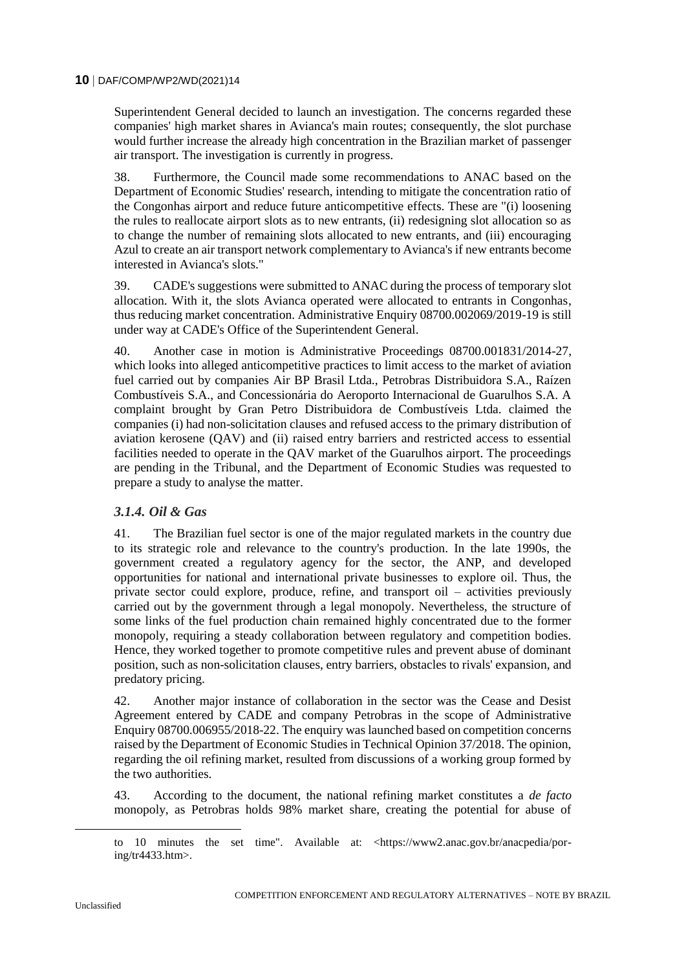Superintendent General decided to launch an investigation. The concerns regarded these companies' high market shares in Avianca's main routes; consequently, the slot purchase would further increase the already high concentration in the Brazilian market of passenger air transport. The investigation is currently in progress.

38. Furthermore, the Council made some recommendations to ANAC based on the Department of Economic Studies' research, intending to mitigate the concentration ratio of the Congonhas airport and reduce future anticompetitive effects. These are "(i) loosening the rules to reallocate airport slots as to new entrants, (ii) redesigning slot allocation so as to change the number of remaining slots allocated to new entrants, and (iii) encouraging Azul to create an air transport network complementary to Avianca's if new entrants become interested in Avianca's slots."

39. CADE's suggestions were submitted to ANAC during the process of temporary slot allocation. With it, the slots Avianca operated were allocated to entrants in Congonhas, thus reducing market concentration. Administrative Enquiry 08700.002069/2019-19 is still under way at CADE's Office of the Superintendent General.

40. Another case in motion is Administrative Proceedings 08700.001831/2014-27, which looks into alleged anticompetitive practices to limit access to the market of aviation fuel carried out by companies Air BP Brasil Ltda., Petrobras Distribuidora S.A., Raízen Combustíveis S.A., and Concessionária do Aeroporto Internacional de Guarulhos S.A. A complaint brought by Gran Petro Distribuidora de Combustíveis Ltda. claimed the companies (i) had non-solicitation clauses and refused access to the primary distribution of aviation kerosene (QAV) and (ii) raised entry barriers and restricted access to essential facilities needed to operate in the QAV market of the Guarulhos airport. The proceedings are pending in the Tribunal, and the Department of Economic Studies was requested to prepare a study to analyse the matter.

## *3.1.4. Oil & Gas*

41. The Brazilian fuel sector is one of the major regulated markets in the country due to its strategic role and relevance to the country's production. In the late 1990s, the government created a regulatory agency for the sector, the ANP, and developed opportunities for national and international private businesses to explore oil. Thus, the private sector could explore, produce, refine, and transport oil – activities previously carried out by the government through a legal monopoly. Nevertheless, the structure of some links of the fuel production chain remained highly concentrated due to the former monopoly, requiring a steady collaboration between regulatory and competition bodies. Hence, they worked together to promote competitive rules and prevent abuse of dominant position, such as non-solicitation clauses, entry barriers, obstacles to rivals' expansion, and predatory pricing.

42. Another major instance of collaboration in the sector was the Cease and Desist Agreement entered by CADE and company Petrobras in the scope of Administrative Enquiry 08700.006955/2018-22. The enquiry was launched based on competition concerns raised by the Department of Economic Studies in Technical Opinion 37/2018. The opinion, regarding the oil refining market, resulted from discussions of a working group formed by the two authorities.

43. According to the document, the national refining market constitutes a *de facto* monopoly, as Petrobras holds 98% market share, creating the potential for abuse of

to 10 minutes the set time". Available at: <https://www2.anac.gov.br/anacpedia/poring/tr4433.htm>.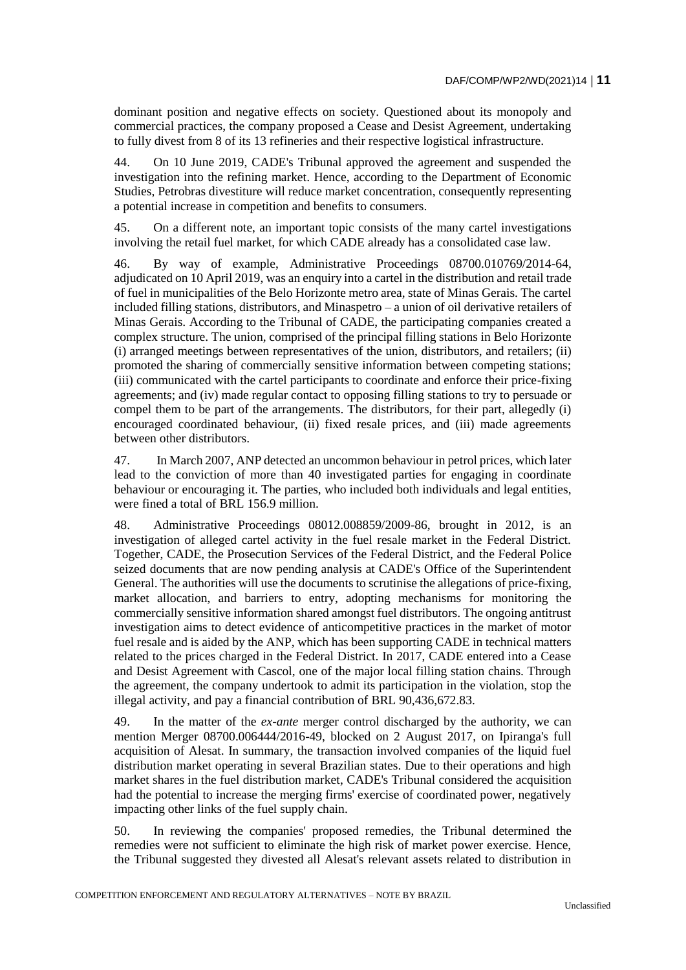dominant position and negative effects on society. Questioned about its monopoly and commercial practices, the company proposed a Cease and Desist Agreement, undertaking to fully divest from 8 of its 13 refineries and their respective logistical infrastructure.

44. On 10 June 2019, CADE's Tribunal approved the agreement and suspended the investigation into the refining market. Hence, according to the Department of Economic Studies, Petrobras divestiture will reduce market concentration, consequently representing a potential increase in competition and benefits to consumers.

45. On a different note, an important topic consists of the many cartel investigations involving the retail fuel market, for which CADE already has a consolidated case law.

46. By way of example, Administrative Proceedings 08700.010769/2014-64, adjudicated on 10 April 2019, was an enquiry into a cartel in the distribution and retail trade of fuel in municipalities of the Belo Horizonte metro area, state of Minas Gerais. The cartel included filling stations, distributors, and Minaspetro – a union of oil derivative retailers of Minas Gerais. According to the Tribunal of CADE, the participating companies created a complex structure. The union, comprised of the principal filling stations in Belo Horizonte (i) arranged meetings between representatives of the union, distributors, and retailers; (ii) promoted the sharing of commercially sensitive information between competing stations; (iii) communicated with the cartel participants to coordinate and enforce their price-fixing agreements; and (iv) made regular contact to opposing filling stations to try to persuade or compel them to be part of the arrangements. The distributors, for their part, allegedly (i) encouraged coordinated behaviour, (ii) fixed resale prices, and (iii) made agreements between other distributors.

47. In March 2007, ANP detected an uncommon behaviour in petrol prices, which later lead to the conviction of more than 40 investigated parties for engaging in coordinate behaviour or encouraging it. The parties, who included both individuals and legal entities, were fined a total of BRL 156.9 million.

48. Administrative Proceedings 08012.008859/2009-86, brought in 2012, is an investigation of alleged cartel activity in the fuel resale market in the Federal District. Together, CADE, the Prosecution Services of the Federal District, and the Federal Police seized documents that are now pending analysis at CADE's Office of the Superintendent General. The authorities will use the documents to scrutinise the allegations of price-fixing, market allocation, and barriers to entry, adopting mechanisms for monitoring the commercially sensitive information shared amongst fuel distributors. The ongoing antitrust investigation aims to detect evidence of anticompetitive practices in the market of motor fuel resale and is aided by the ANP, which has been supporting CADE in technical matters related to the prices charged in the Federal District. In 2017, CADE entered into a Cease and Desist Agreement with Cascol, one of the major local filling station chains. Through the agreement, the company undertook to admit its participation in the violation, stop the illegal activity, and pay a financial contribution of BRL 90,436,672.83.

49. In the matter of the *ex-ante* merger control discharged by the authority, we can mention Merger 08700.006444/2016-49, blocked on 2 August 2017, on Ipiranga's full acquisition of Alesat. In summary, the transaction involved companies of the liquid fuel distribution market operating in several Brazilian states. Due to their operations and high market shares in the fuel distribution market, CADE's Tribunal considered the acquisition had the potential to increase the merging firms' exercise of coordinated power, negatively impacting other links of the fuel supply chain.

50. In reviewing the companies' proposed remedies, the Tribunal determined the remedies were not sufficient to eliminate the high risk of market power exercise. Hence, the Tribunal suggested they divested all Alesat's relevant assets related to distribution in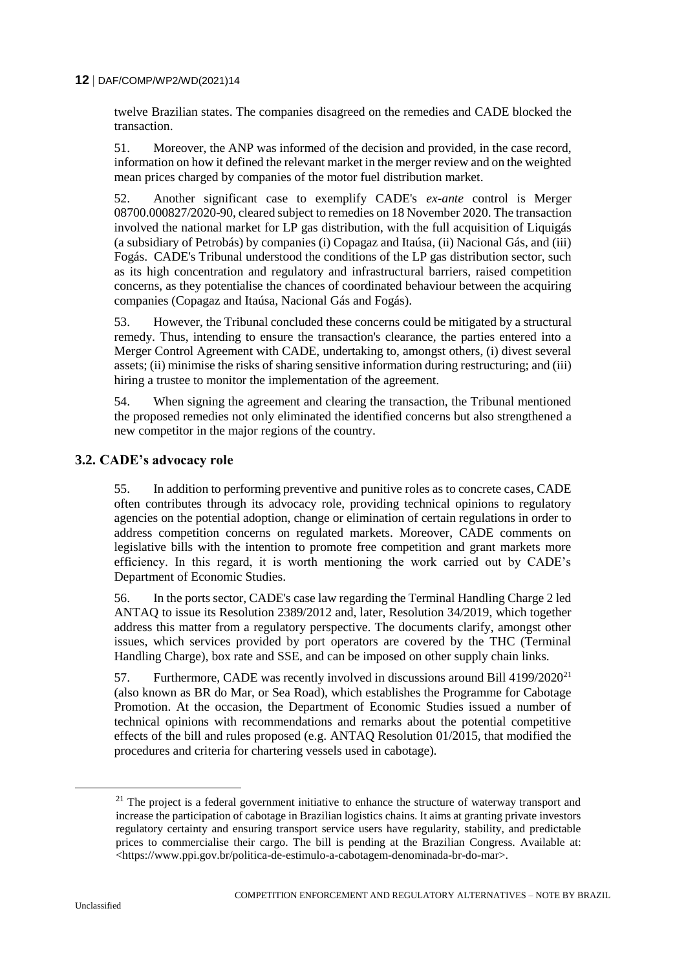twelve Brazilian states. The companies disagreed on the remedies and CADE blocked the transaction.

51. Moreover, the ANP was informed of the decision and provided, in the case record, information on how it defined the relevant market in the merger review and on the weighted mean prices charged by companies of the motor fuel distribution market.

52. Another significant case to exemplify CADE's *ex-ante* control is Merger 08700.000827/2020-90, cleared subject to remedies on 18 November 2020. The transaction involved the national market for LP gas distribution, with the full acquisition of Liquigás (a subsidiary of Petrobás) by companies (i) Copagaz and Itaúsa, (ii) Nacional Gás, and (iii) Fogás. CADE's Tribunal understood the conditions of the LP gas distribution sector, such as its high concentration and regulatory and infrastructural barriers, raised competition concerns, as they potentialise the chances of coordinated behaviour between the acquiring companies (Copagaz and Itaúsa, Nacional Gás and Fogás).

53. However, the Tribunal concluded these concerns could be mitigated by a structural remedy. Thus, intending to ensure the transaction's clearance, the parties entered into a Merger Control Agreement with CADE, undertaking to, amongst others, (i) divest several assets; (ii) minimise the risks of sharing sensitive information during restructuring; and (iii) hiring a trustee to monitor the implementation of the agreement.

54. When signing the agreement and clearing the transaction, the Tribunal mentioned the proposed remedies not only eliminated the identified concerns but also strengthened a new competitor in the major regions of the country.

#### **3.2. CADE's advocacy role**

55. In addition to performing preventive and punitive roles as to concrete cases, CADE often contributes through its advocacy role, providing technical opinions to regulatory agencies on the potential adoption, change or elimination of certain regulations in order to address competition concerns on regulated markets. Moreover, CADE comments on legislative bills with the intention to promote free competition and grant markets more efficiency. In this regard, it is worth mentioning the work carried out by CADE's Department of Economic Studies.

56. In the ports sector, CADE's case law regarding the Terminal Handling Charge 2 led ANTAQ to issue its Resolution 2389/2012 and, later, Resolution 34/2019, which together address this matter from a regulatory perspective. The documents clarify, amongst other issues, which services provided by port operators are covered by the THC (Terminal Handling Charge), box rate and SSE, and can be imposed on other supply chain links.

57. Furthermore, CADE was recently involved in discussions around Bill  $4199/2020^{21}$ (also known as BR do Mar, or Sea Road), which establishes the Programme for Cabotage Promotion. At the occasion, the Department of Economic Studies issued a number of technical opinions with recommendations and remarks about the potential competitive effects of the bill and rules proposed (e.g. ANTAQ Resolution 01/2015, that modified the procedures and criteria for chartering vessels used in cabotage).

 $21$  The project is a federal government initiative to enhance the structure of waterway transport and increase the participation of cabotage in Brazilian logistics chains. It aims at granting private investors regulatory certainty and ensuring transport service users have regularity, stability, and predictable prices to commercialise their cargo. The bill is pending at the Brazilian Congress. Available at: <https://www.ppi.gov.br/politica-de-estimulo-a-cabotagem-denominada-br-do-mar>.